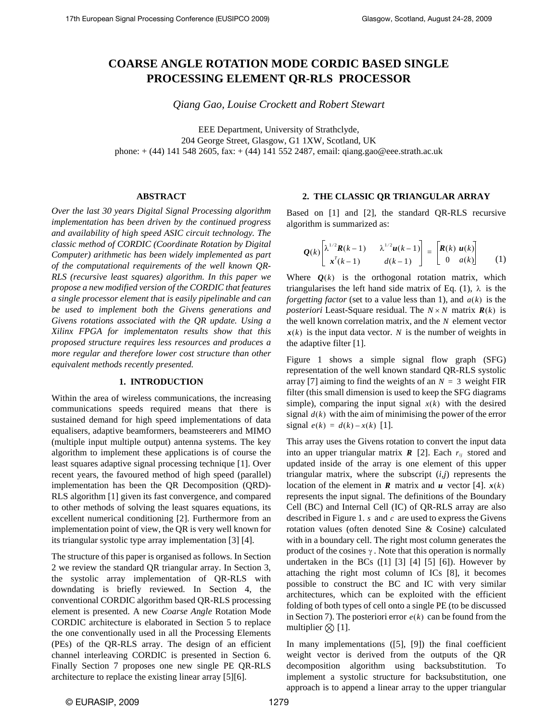# **COARSE ANGLE ROTATION MODE CORDIC BASED SINGLE PROCESSING ELEMENT QR-RLS PROCESSOR**

*Qiang Gao, Louise Crockett and Robert Stewart* 

EEE Department, University of Strathclyde, 204 George Street, Glasgow, G1 1XW, Scotland, UK phone: + (44) 141 548 2605, fax: + (44) 141 552 2487, email: qiang.gao@eee.strath.ac.uk

#### **ABSTRACT**

*Over the last 30 years Digital Signal Processing algorithm implementation has been driven by the continued progress and availability of high speed ASIC circuit technology. The classic method of CORDIC (Coordinate Rotation by Digital Computer) arithmetic has been widely implemented as part of the computational requirements of the well known QR-RLS (recursive least squares) algorithm. In this paper we propose a new modified version of the CORDIC that features a single processor element that is easily pipelinable and can be used to implement both the Givens generations and Givens rotations associated with the QR update. Using a Xilinx FPGA for implementaton results show that this proposed structure requires less resources and produces a more regular and therefore lower cost structure than other equivalent methods recently presented.* 

#### **1. INTRODUCTION**

Within the area of wireless communications, the increasing communications speeds required means that there is sustained demand for high speed implementations of data equalisers, adaptive beamformers, beamsteerers and MIMO (multiple input multiple output) antenna systems. The key algorithm to implement these applications is of course the least squares adaptive signal processing technique [1]. Over recent years, the favoured method of high speed (parallel) implementation has been the QR Decomposition (QRD)- RLS algorithm [1] given its fast convergence, and compared to other methods of solving the least squares equations, its excellent numerical conditioning [2]. Furthermore from an implementation point of view, the QR is very well known for its triangular systolic type array implementation [3] [4].

The structure of this paper is organised as follows. In Section 2 we review the standard QR triangular array. In Section 3, the systolic array implementation of QR-RLS with downdating is briefly reviewed. In Section 4, the conventional CORDIC algorithm based QR-RLS processing element is presented. A new *Coarse Angle* Rotation Mode CORDIC architecture is elaborated in Section 5 to replace the one conventionally used in all the Processing Elements (PEs) of the QR-RLS array. The design of an efficient channel interleaving CORDIC is presented in Section 6. Finally Section 7 proposes one new single PE QR-RLS architecture to replace the existing linear array [5][6].

## **2. THE CLASSIC QR TRIANGULAR ARRAY**

Based on [1] and [2], the standard QR-RLS recursive algorithm is summarized as:

$$
\mathbf{Q}(k)\begin{bmatrix} \lambda^{1/2}\mathbf{R}(k-1) & \lambda^{1/2}\mathbf{u}(k-1) \\ \mathbf{x}^{T}(k-1) & d(k-1) \end{bmatrix} = \begin{bmatrix} \mathbf{R}(k) & \mathbf{u}(k) \\ 0 & a(k) \end{bmatrix}
$$
 (1)

Where  $Q(k)$  is the orthogonal rotation matrix, which triangularises the left hand side matrix of Eq.  $(1)$ ,  $\lambda$  is the *forgetting factor* (set to a value less than 1), and  $a(k)$  is the *posteriori* Least-Square residual. The  $N \times N$  matrix  $\mathbf{R}(k)$  is the well known correlation matrix, and the N element vector  $x(k)$  is the input data vector. N is the number of weights in the adaptive filter [1].

Figure 1 shows a simple signal flow graph (SFG) representation of the well known standard QR-RLS systolic array [7] aiming to find the weights of an  $N = 3$  weight FIR filter (this small dimension is used to keep the SFG diagrams simple), comparing the input signal  $x(k)$  with the desired signal  $d(k)$  with the aim of minimising the power of the error  $signal e(k) = d(k) - x(k)$  [1].

This array uses the Givens rotation to convert the input data into an upper triangular matrix  $\boldsymbol{R}$  [2]. Each  $r_{ij}$  stored and updated inside of the array is one element of this upper triangular matrix, where the subscript (*i,j*) represents the location of the element in **R** matrix and **u** vector [4].  $x(k)$ represents the input signal. The definitions of the Boundary Cell (BC) and Internal Cell (IC) of QR-RLS array are also described in Figure 1.  $s$  and  $c$  are used to express the Givens rotation values (often denoted Sine & Cosine) calculated with in a boundary cell. The right most column generates the product of the cosines  $\gamma$ . Note that this operation is normally undertaken in the BCs  $(1]$   $[3]$   $[4]$   $[5]$   $[6]$ ). However by attaching the right most column of ICs [8], it becomes possible to construct the BC and IC with very similar architectures, which can be exploited with the efficient folding of both types of cell onto a single PE (to be discussed in Section 7). The posteriori error  $e(k)$  can be found from the multiplier  $\otimes$  [1].

In many implementations ([5], [9]) the final coefficient weight vector is derived from the outputs of the QR decomposition algorithm using backsubstitution. To implement a systolic structure for backsubstitution, one approach is to append a linear array to the upper triangular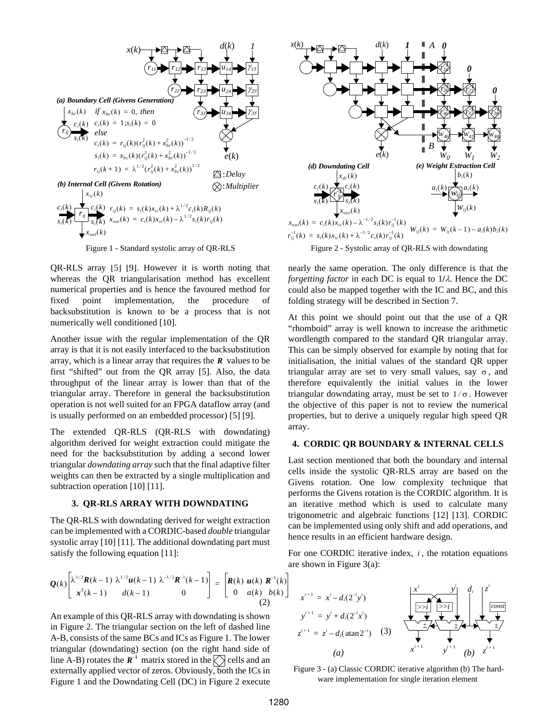

Figure 1 - Standard systolic array of QR-RLS

QR-RLS array [5] [9]. However it is worth noting that whereas the QR triangularisation method has excellent numerical properties and is hence the favoured method for fixed point implementation, the procedure of backsubstitution is known to be a process that is not numerically well conditioned [10].

Another issue with the regular implementation of the QR array is that it is not easily interfaced to the backsubstitution array, which is a linear array that requires the  *values to be* first "shifted" out from the QR array [5]. Also, the data throughput of the linear array is lower than that of the triangular array. Therefore in general the backsubstitution operation is not well suited for an FPGA dataflow array (and is usually performed on an embedded processor) [5] [9].

The extended QR-RLS (QR-RLS with downdating) algorithm derived for weight extraction could mitigate the need for the backsubstitution by adding a second lower triangular *downdating array* such that the final adaptive filter weights can then be extracted by a single multiplication and subtraction operation [10] [11].

#### **3. QR-RLS ARRAY WITH DOWNDATING**

The QR-RLS with downdating derived for weight extraction can be implemented with a CORDIC-based *double* triangular systolic array [10] [11]. The additional downdating part must satisfy the following equation [11]:



Figure 2 - Systolic array of QR-RLS with downdating

nearly the same operation. The only difference is that the *forgetting factor* in each DC is equal to 1**/**λ. Hence the DC could also be mapped together with the IC and BC, and this folding strategy will be described in Section 7.

At this point we should point out that the use of a QR "rhomboid" array is well known to increase the arithmetic wordlength compared to the standard QR triangular array. This can be simply observed for example by noting that for initialisation, the initial values of the standard QR upper triangular array are set to very small values, say  $\sigma$ , and therefore equivalently the initial values in the lower triangular downdating array, must be set to  $1/\sigma$ . However the objective of this paper is not to review the numerical properties, but to derive a uniquely regular high speed QR array.

# **4. CORDIC QR BOUNDARY & INTERNAL CELLS**

Last section mentioned that both the boundary and internal cells inside the systolic QR-RLS array are based on the Givens rotation. One low complexity technique that performs the Givens rotation is the CORDIC algorithm. It is an iterative method which is used to calculate many trigonometric and algebraic functions [12] [13]. CORDIC can be implemented using only shift and add operations, and hence results in an efficient hardware design.

For one CORDIC iterative index,  $i$ , the rotation equations are shown in Figure 3(a):

$$
\mathbf{Q}(k) \begin{bmatrix} \lambda^{1/2} \mathbf{R}(k-1) & \lambda^{1/2} \mathbf{u}(k-1) & \lambda^{-1/2} \mathbf{R}^{-1}(k-1) \\ \mathbf{x}^T(k-1) & d(k-1) & 0 \end{bmatrix} = \begin{bmatrix} \mathbf{R}(k) & \mathbf{u}(k) & \mathbf{R}^{-1}(k) \\ 0 & a(k) & b(k) \end{bmatrix}
$$
(2)

An example of this QR-RLS array with downdating is shown in Figure 2. The triangular section on the left of dashed line A-B, consists of the same BCs and ICs as Figure 1. The lower triangular (downdating) section (on the right hand side of line A-B) rotates the  $\mathbb{R}^{-1}$  matrix stored in the  $\bigotimes$  cells and an externally applied vector of zeros. Obviously, both the ICs in Figure 1 and the Downdating Cell (DC) in Figure 2 execute



 Figure 3 - (a) Classic CORDIC iterative algorithm (b) The hardware implementation for single iteration element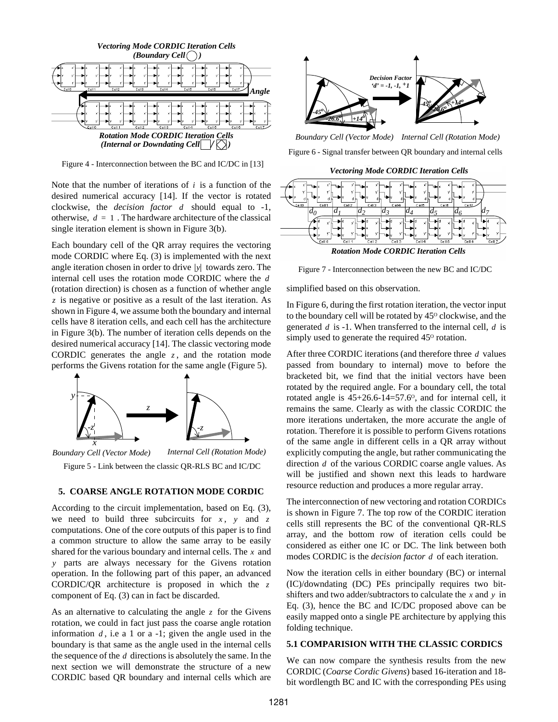

Figure 4 - Interconnection between the BC and IC/DC in [13]

Note that the number of iterations of  $i$  is a function of the desired numerical accuracy [14]. If the vector is rotated clockwise, the *decision factor d* should equal to -1, otherwise,  $d = 1$ . The hardware architecture of the classical single iteration element is shown in Figure 3(b).

Each boundary cell of the QR array requires the vectoring mode CORDIC where Eq. (3) is implemented with the next angle iteration chosen in order to drive  $|y|$  towards zero. The internal cell uses the rotation mode CORDIC where the *d* (rotation direction) is chosen as a function of whether angle is negative or positive as a result of the last iteration. As *z* shown in Figure 4, we assume both the boundary and internal cells have 8 iteration cells, and each cell has the architecture in Figure 3(b). The number of iteration cells depends on the desired numerical accuracy [14]. The classic vectoring mode CORDIC generates the angle  $z$ , and the rotation mode performs the Givens rotation for the same angle (Figure 5).



Figure 5 - Link between the classic QR-RLS BC and IC/DC

## **5. COARSE ANGLE ROTATION MODE CORDIC**

According to the circuit implementation, based on Eq. (3), we need to build three subcircuits for  $x$ ,  $y$  and  $z$ computations. One of the core outputs of this paper is to find a common structure to allow the same array to be easily shared for the various boundary and internal cells. The  $x$  and parts are always necessary for the Givens rotation *y* operation. In the following part of this paper, an advanced CORDIC/QR architecture is proposed in which the *z* component of Eq. (3) can in fact be discarded.

As an alternative to calculating the angle  $\zeta$  for the Givens rotation, we could in fact just pass the coarse angle rotation information  $d$ , i.e a 1 or a -1; given the angle used in the boundary is that same as the angle used in the internal cells the sequence of the  $d$  directions is absolutely the same. In the next section we will demonstrate the structure of a new CORDIC based QR boundary and internal cells which are



Figure 6 - Signal transfer between QR boundary and internal cells *Boundary Cell (Vector Mode) Internal Cell (Rotation Mode)*

*Vectoring Mode CORDIC Iteration Cells*



*Rotation Mode CORDIC Iteration Cells*

Figure 7 - Interconnection between the new BC and IC/DC

simplified based on this observation.

In Figure 6, during the first rotation iteration, the vector input to the boundary cell will be rotated by  $45^{\circ}$  clockwise, and the generated d is -1. When transferred to the internal cell, d is simply used to generate the required  $45^{\circ}$  rotation.

After three CORDIC iterations (and therefore three d values passed from boundary to internal) move to before the bracketed bit, we find that the initial vectors have been rotated by the required angle. For a boundary cell, the total rotated angle is  $45+26.6-14=57.6$ <sup>o</sup>, and for internal cell, it remains the same. Clearly as with the classic CORDIC the more iterations undertaken, the more accurate the angle of rotation. Therefore it is possible to perform Givens rotations of the same angle in different cells in a QR array without explicitly computing the angle, but rather communicating the direction d of the various CORDIC coarse angle values. As will be justified and shown next this leads to hardware resource reduction and produces a more regular array.

The interconnection of new vectoring and rotation CORDICs is shown in Figure 7. The top row of the CORDIC iteration cells still represents the BC of the conventional QR-RLS array, and the bottom row of iteration cells could be considered as either one IC or DC. The link between both modes CORDIC is the *decision factor* d of each iteration.

Now the iteration cells in either boundary (BC) or internal (IC)/downdating (DC) PEs principally requires two bitshifters and two adder/subtractors to calculate the  $x$  and  $y$  in Eq. (3), hence the BC and IC/DC proposed above can be easily mapped onto a single PE architecture by applying this folding technique.

## **5.1 COMPARISION WITH THE CLASSIC CORDICS**

We can now compare the synthesis results from the new CORDIC (*Coarse Cordic Givens*) based 16-iteration and 18 bit wordlength BC and IC with the corresponding PEs using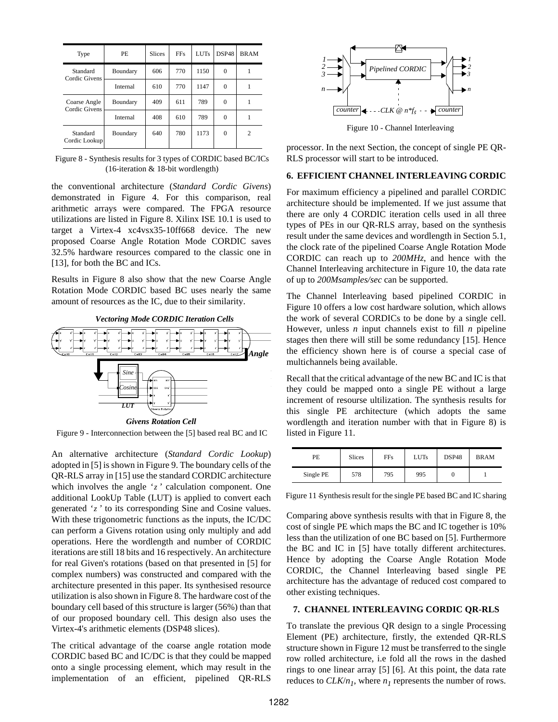| Type                          | PE.      | <b>Slices</b> | <b>FFs</b> | <b>LUTs</b> | DSP48        | <b>BRAM</b>    |
|-------------------------------|----------|---------------|------------|-------------|--------------|----------------|
| Standard<br>Cordic Givens     | Boundary | 606           | 770        | 1150        | $\Omega$     |                |
|                               | Internal | 610           | 770        | 1147        | $\Omega$     |                |
| Coarse Angle<br>Cordic Givens | Boundary | 409           | 611        | 789         | $\Omega$     |                |
|                               | Internal | 408           | 610        | 789         | $\Omega$     |                |
| Standard<br>Cordic Lookup     | Boundary | 640           | 780        | 1173        | $\mathbf{0}$ | $\overline{c}$ |

 Figure 8 - Synthesis results for 3 types of CORDIC based BC/ICs (16-iteration & 18-bit wordlength)

the conventional architecture (*Standard Cordic Givens*) demonstrated in Figure 4. For this comparison, real arithmetic arrays were compared. The FPGA resource utilizations are listed in Figure 8. Xilinx ISE 10.1 is used to target a Virtex-4 xc4vsx35-10ff668 device. The new proposed Coarse Angle Rotation Mode CORDIC saves 32.5% hardware resources compared to the classic one in [13], for both the BC and ICs.

Results in Figure 8 also show that the new Coarse Angle Rotation Mode CORDIC based BC uses nearly the same amount of resources as the IC, due to their similarity.



Figure 9 - Interconnection between the [5] based real BC and IC

An alternative architecture (*Standard Cordic Lookup*) adopted in [5] is shown in Figure 9. The boundary cells of the QR-RLS array in [15] use the standard CORDIC architecture which involves the angle 'z' calculation component. One additional LookUp Table (LUT) is applied to convert each generated 'z' to its corresponding Sine and Cosine values. With these trigonometric functions as the inputs, the IC/DC can perform a Givens rotation using only multiply and add operations. Here the wordlength and number of CORDIC iterations are still 18 bits and 16 respectively. An architecture for real Given's rotations (based on that presented in [5] for complex numbers) was constructed and compared with the architecture presented in this paper. Its synthesised resource utilization is also shown in Figure 8. The hardware cost of the boundary cell based of this structure is larger (56%) than that of our proposed boundary cell. This design also uses the Virtex-4's arithmetic elements (DSP48 slices).

The critical advantage of the coarse angle rotation mode CORDIC based BC and IC/DC is that they could be mapped onto a single processing element, which may result in the implementation of an efficient, pipelined QR-RLS



processor. In the next Section, the concept of single PE QR-RLS processor will start to be introduced.

# **6. EFFICIENT CHANNEL INTERLEAVING CORDIC**

For maximum efficiency a pipelined and parallel CORDIC architecture should be implemented. If we just assume that there are only 4 CORDIC iteration cells used in all three types of PEs in our QR-RLS array, based on the synthesis result under the same devices and wordlength in Section 5.1, the clock rate of the pipelined Coarse Angle Rotation Mode CORDIC can reach up to *200MHz*, and hence with the Channel Interleaving architecture in Figure 10, the data rate of up to *200Msamples/sec* can be supported.

The Channel Interleaving based pipelined CORDIC in Figure 10 offers a low cost hardware solution, which allows the work of several CORDICs to be done by a single cell. However, unless *n* input channels exist to fill *n* pipeline stages then there will still be some redundancy [15]. Hence the efficiency shown here is of course a special case of multichannels being available.

Recall that the critical advantage of the new BC and IC is that they could be mapped onto a single PE without a large increment of resourse ultilization. The synthesis results for this single PE architecture (which adopts the same wordlength and iteration number with that in Figure 8) is listed in Figure 11.

| PE        | <b>Slices</b> | FFs. | <b>LUTs</b> | DSP48 | <b>BRAM</b> |
|-----------|---------------|------|-------------|-------|-------------|
| Single PE | 578           | 795  | 995         | υ     |             |

Figure 11 Synthesis result for the single PE based BC and IC sharing

Comparing above synthesis results with that in Figure 8, the cost of single PE which maps the BC and IC together is 10% less than the utilization of one BC based on [5]. Furthermore the BC and IC in [5] have totally different architectures. Hence by adopting the Coarse Angle Rotation Mode CORDIC, the Channel Interleaving based single PE architecture has the advantage of reduced cost compared to other existing techniques.

### **7. CHANNEL INTERLEAVING CORDIC QR-RLS**

To translate the previous QR design to a single Processing Element (PE) architecture, firstly, the extended QR-RLS structure shown in Figure 12 must be transferred to the single row rolled architecture, i.e fold all the rows in the dashed rings to one linear array [5] [6]. At this point, the data rate reduces to  $CLK/n_1$ , where  $n_1$  represents the number of rows.